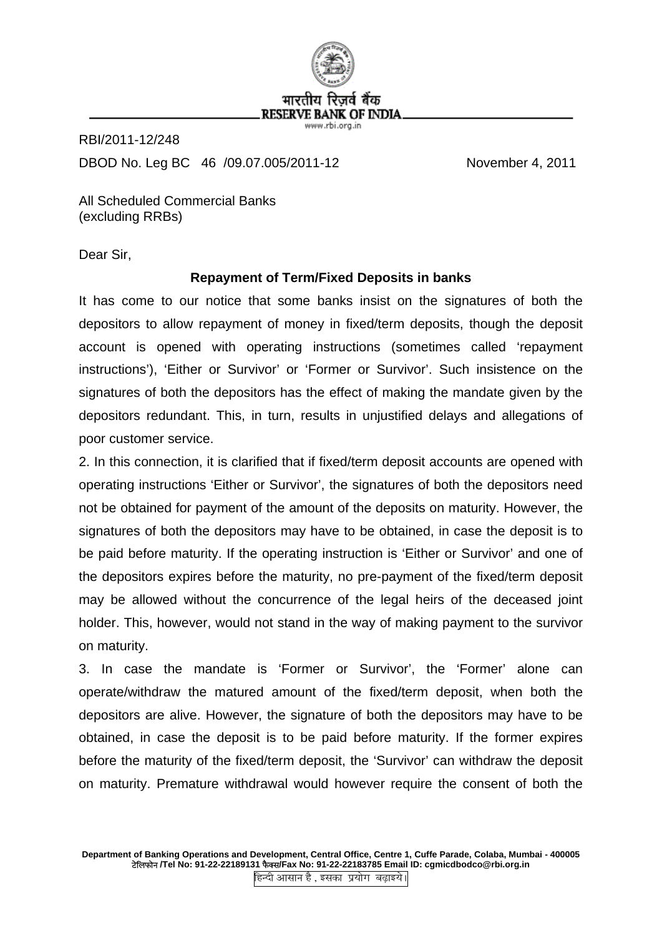

RBI/2011-12/248 DBOD No. Leg BC 46 /09.07.005/2011-12 November 4, 2011

All Scheduled Commercial Banks (excluding RRBs)

Dear Sir,

## **Repayment of Term/Fixed Deposits in banks**

It has come to our notice that some banks insist on the signatures of both the depositors to allow repayment of money in fixed/term deposits, though the deposit account is opened with operating instructions (sometimes called 'repayment instructions'), 'Either or Survivor' or 'Former or Survivor'. Such insistence on the signatures of both the depositors has the effect of making the mandate given by the depositors redundant. This, in turn, results in unjustified delays and allegations of poor customer service.

2. In this connection, it is clarified that if fixed/term deposit accounts are opened with operating instructions 'Either or Survivor', the signatures of both the depositors need not be obtained for payment of the amount of the deposits on maturity. However, the signatures of both the depositors may have to be obtained, in case the deposit is to be paid before maturity. If the operating instruction is 'Either or Survivor' and one of the depositors expires before the maturity, no pre-payment of the fixed/term deposit may be allowed without the concurrence of the legal heirs of the deceased joint holder. This, however, would not stand in the way of making payment to the survivor on maturity.

3. In case the mandate is 'Former or Survivor', the 'Former' alone can operate/withdraw the matured amount of the fixed/term deposit, when both the depositors are alive. However, the signature of both the depositors may have to be obtained, in case the deposit is to be paid before maturity. If the former expires before the maturity of the fixed/term deposit, the 'Survivor' can withdraw the deposit on maturity. Premature withdrawal would however require the consent of both the